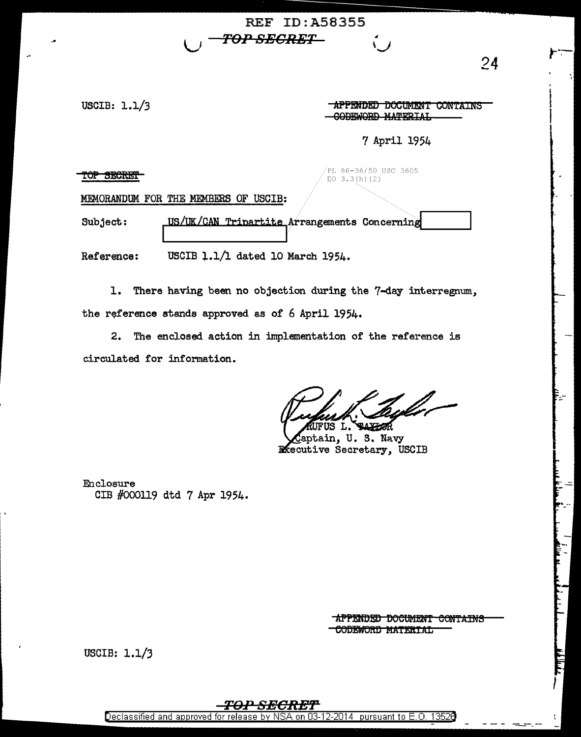USCIB: 1.1/3

TOP SECRET

|               | AFFENDED DOGUMENT GONTAL<br>CODEWORD MARTPIAI<br>vvuuviw tint |
|---------------|---------------------------------------------------------------|
|               | 7 April 1954                                                  |
| TRS OF ISCIR. | /PL 86-36/50 USC 3605<br>EO $3.3(h)(2)$                       |

**REF ID: A58355** 

TOP SECRET—

MEMORANDUM FOR THE MEMBE

US/UK/CAN Tripartite Arrangements Concerning Subject:

USCIB 1.1/1 dated 10 March 1954. Reference:

1. There having been no objection during the 7-day interregnum, the reference stands approved as of 6 April 1954.

2. The enclosed action in implementation of the reference is circulated for information.

**ELXHOR** ĸ L.

aptain, U.S. Navy **R**ecutive Secretary, USCIB

Enclosure CIB #000119 dtd 7 Apr 1954.

> APPENDED DOCUMENT CONTAINS CODEWORD MATERIAL

USCIB: 1.1/3



24